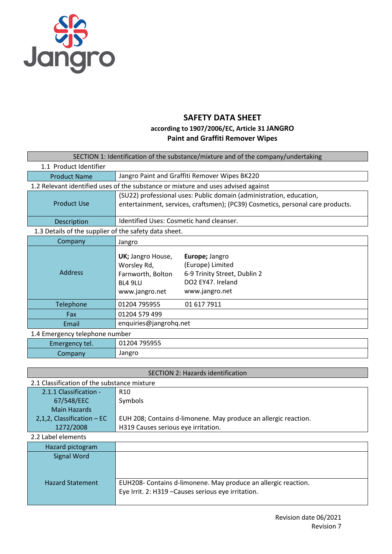

## **SAFETY DATA SHEET**

### **according to 1907/2006/EC, Article 31 JANGRO Paint and Graffiti Remover Wipes**

| SECTION 1: Identification of the substance/mixture and of the company/undertaking |                                                                                           |                                                                                                           |  |
|-----------------------------------------------------------------------------------|-------------------------------------------------------------------------------------------|-----------------------------------------------------------------------------------------------------------|--|
| 1.1 Product Identifier                                                            |                                                                                           |                                                                                                           |  |
| <b>Product Name</b>                                                               |                                                                                           | Jangro Paint and Graffiti Remover Wipes BK220                                                             |  |
|                                                                                   |                                                                                           | 1.2 Relevant identified uses of the substance or mixture and uses advised against                         |  |
|                                                                                   |                                                                                           | (SU22) professional uses: Public domain (administration, education,                                       |  |
| <b>Product Use</b>                                                                |                                                                                           | entertainment, services, craftsmen); (PC39) Cosmetics, personal care products.                            |  |
| Description                                                                       | Identified Uses: Cosmetic hand cleanser.                                                  |                                                                                                           |  |
| 1.3 Details of the supplier of the safety data sheet.                             |                                                                                           |                                                                                                           |  |
| Company                                                                           | Jangro                                                                                    |                                                                                                           |  |
| <b>Address</b>                                                                    | UK; Jangro House,<br>Worsley Rd,<br>Farnworth, Bolton<br><b>BL4 9LU</b><br>www.jangro.net | Europe; Jangro<br>(Europe) Limited<br>6-9 Trinity Street, Dublin 2<br>DO2 FY47, Ireland<br>www.jangro.net |  |
| Telephone                                                                         | 01204 795955                                                                              | 01 617 7911                                                                                               |  |
| Fax                                                                               | 01204 579 499                                                                             |                                                                                                           |  |
| Email                                                                             | enquiries@jangrohq.net                                                                    |                                                                                                           |  |
| 1.4 Emergency telephone number                                                    |                                                                                           |                                                                                                           |  |
| Emergency tel.                                                                    | 01204 795955                                                                              |                                                                                                           |  |
| Company                                                                           | Jangro                                                                                    |                                                                                                           |  |

| <b>SECTION 2: Hazards identification</b>    |                                                                 |  |
|---------------------------------------------|-----------------------------------------------------------------|--|
| 2.1 Classification of the substance mixture |                                                                 |  |
| 2.1.1 Classification -                      | R <sub>10</sub>                                                 |  |
| 67/548/EEC                                  | Symbols                                                         |  |
| <b>Main Hazards</b>                         |                                                                 |  |
| $2,1,2$ , Classification – EC               | EUH 208; Contains d-limonene. May produce an allergic reaction. |  |
| 1272/2008                                   | H319 Causes serious eye irritation.                             |  |
| 2.2 Label elements                          |                                                                 |  |
| Hazard pictogram                            |                                                                 |  |
| <b>Signal Word</b>                          |                                                                 |  |
|                                             |                                                                 |  |
|                                             |                                                                 |  |
| <b>Hazard Statement</b>                     | EUH208- Contains d-limonene. May produce an allergic reaction.  |  |
|                                             | Eye Irrit. 2: H319 - Causes serious eye irritation.             |  |
|                                             |                                                                 |  |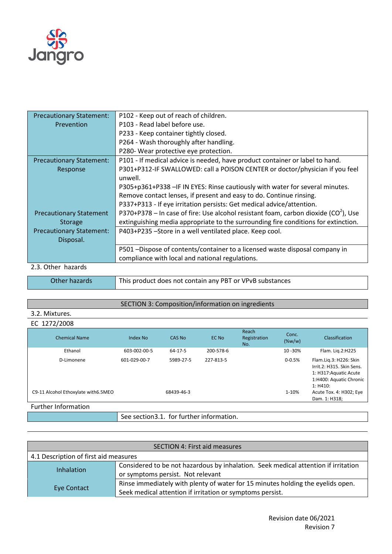

| <b>Precautionary Statement:</b> | P102 - Keep out of reach of children.                                                 |
|---------------------------------|---------------------------------------------------------------------------------------|
| Prevention                      | P103 - Read label before use.                                                         |
|                                 | P233 - Keep container tightly closed.                                                 |
|                                 | P264 - Wash thoroughly after handling.                                                |
|                                 | P280- Wear protective eye protection.                                                 |
| <b>Precautionary Statement:</b> | P101 - If medical advice is needed, have product container or label to hand.          |
| Response                        | P301+P312-IF SWALLOWED: call a POISON CENTER or doctor/physician if you feel          |
|                                 | unwell.                                                                               |
|                                 | P305+p361+P338 - IF IN EYES: Rinse cautiously with water for several minutes.         |
|                                 | Remove contact lenses, if present and easy to do. Continue rinsing.                   |
|                                 | P337+P313 - If eye irritation persists: Get medical advice/attention.                 |
| <b>Precautionary Statement</b>  | P370+P378 – In case of fire: Use alcohol resistant foam, carbon dioxide $(CO2)$ , Use |
| <b>Storage</b>                  | extinguishing media appropriate to the surrounding fire conditions for extinction.    |
| <b>Precautionary Statement:</b> | P403+P235 -Store in a well ventilated place. Keep cool.                               |
| Disposal.                       |                                                                                       |
|                                 | P501 -Dispose of contents/container to a licensed waste disposal company in           |
|                                 | compliance with local and national regulations.                                       |
| 2.3. Other hazards              |                                                                                       |

Other hazards This product does not contain any PBT or VPvB substances

## SECTION 3: Composition/information on ingredients

### 3.2. Mixtures.

#### EC 1272/2008

| <b>Chemical Name</b>                 | Index No     | CAS No        | EC No     | Reach<br>Registration<br>No. | Conc.<br>$(\%w/w)$ | Classification                                                                                                       |
|--------------------------------------|--------------|---------------|-----------|------------------------------|--------------------|----------------------------------------------------------------------------------------------------------------------|
| Ethanol                              | 603-002-00-5 | $64 - 17 - 5$ | 200-578-6 |                              | 10 - 30%           | Flam. Lig.2:H225                                                                                                     |
| D-Limonene                           | 601-029-00-7 | 5989-27-5     | 227-813-5 |                              | $0 - 0.5%$         | Flam.Lig.3: H226: Skin<br>Irrit.2: H315. Skin Sens.<br>1: H317: Aquatic Acute<br>1:H400: Aquatic Chronic<br>1: H410: |
| C9-11 Alcohol Ethoxylate with 6.5MEO |              | 68439-46-3    |           |                              | 1-10%              | Acute Tox. 4: H302; Eye<br>Dam. 1: H318;                                                                             |
| Further Information                  |              |               |           |                              |                    |                                                                                                                      |

See section3.1. for further information.

| <b>SECTION 4: First aid measures</b>  |                                                                                                                                              |  |
|---------------------------------------|----------------------------------------------------------------------------------------------------------------------------------------------|--|
| 4.1 Description of first aid measures |                                                                                                                                              |  |
| <b>Inhalation</b>                     | Considered to be not hazardous by inhalation. Seek medical attention if irritation<br>or symptoms persist. Not relevant                      |  |
| Eye Contact                           | Rinse immediately with plenty of water for 15 minutes holding the eyelids open.<br>Seek medical attention if irritation or symptoms persist. |  |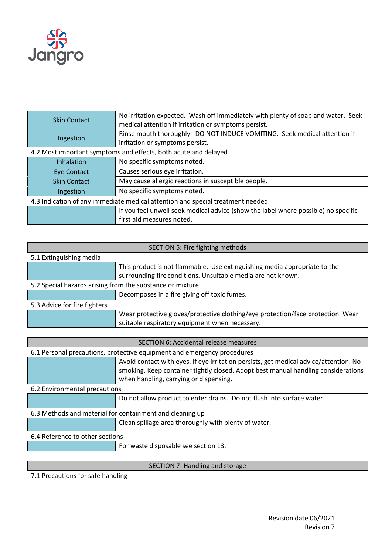

| <b>Skin Contact</b>                                                            | No irritation expected. Wash off immediately with plenty of soap and water. Seek<br>medical attention if irritation or symptoms persist. |  |
|--------------------------------------------------------------------------------|------------------------------------------------------------------------------------------------------------------------------------------|--|
| Ingestion                                                                      | Rinse mouth thoroughly. DO NOT INDUCE VOMITING. Seek medical attention if<br>irritation or symptoms persist.                             |  |
| 4.2 Most important symptoms and effects, both acute and delayed                |                                                                                                                                          |  |
| Inhalation                                                                     | No specific symptoms noted.                                                                                                              |  |
| <b>Eye Contact</b>                                                             | Causes serious eye irritation.                                                                                                           |  |
| <b>Skin Contact</b>                                                            | May cause allergic reactions in susceptible people.                                                                                      |  |
| Ingestion                                                                      | No specific symptoms noted.                                                                                                              |  |
| 4.3 Indication of any immediate medical attention and special treatment needed |                                                                                                                                          |  |
|                                                                                | If you feel unwell seek medical advice (show the label where possible) no specific                                                       |  |
|                                                                                | first aid measures noted.                                                                                                                |  |

| SECTION 5: Fire fighting methods                          |                                                                                 |  |  |  |
|-----------------------------------------------------------|---------------------------------------------------------------------------------|--|--|--|
| 5.1 Extinguishing media                                   |                                                                                 |  |  |  |
|                                                           | This product is not flammable. Use extinguishing media appropriate to the       |  |  |  |
|                                                           | surrounding fire conditions. Unsuitable media are not known.                    |  |  |  |
| 5.2 Special hazards arising from the substance or mixture |                                                                                 |  |  |  |
|                                                           | Decomposes in a fire giving off toxic fumes.                                    |  |  |  |
| 5.3 Advice for fire fighters                              |                                                                                 |  |  |  |
|                                                           | Wear protective gloves/protective clothing/eye protection/face protection. Wear |  |  |  |
|                                                           | suitable respiratory equipment when necessary.                                  |  |  |  |

| SECTION 6: Accidental release measures                   |                                                                                       |  |  |
|----------------------------------------------------------|---------------------------------------------------------------------------------------|--|--|
|                                                          | 6.1 Personal precautions, protective equipment and emergency procedures               |  |  |
|                                                          | Avoid contact with eyes. If eye irritation persists, get medical advice/attention. No |  |  |
|                                                          | smoking. Keep container tightly closed. Adopt best manual handling considerations     |  |  |
|                                                          | when handling, carrying or dispensing.                                                |  |  |
| 6.2 Environmental precautions                            |                                                                                       |  |  |
|                                                          | Do not allow product to enter drains. Do not flush into surface water.                |  |  |
| 6.3 Methods and material for containment and cleaning up |                                                                                       |  |  |
|                                                          | Clean spillage area thoroughly with plenty of water.                                  |  |  |
| 6.4 Reference to other sections                          |                                                                                       |  |  |
|                                                          | For waste disposable see section 13.                                                  |  |  |

## SECTION 7: Handling and storage

7.1 Precautions for safe handling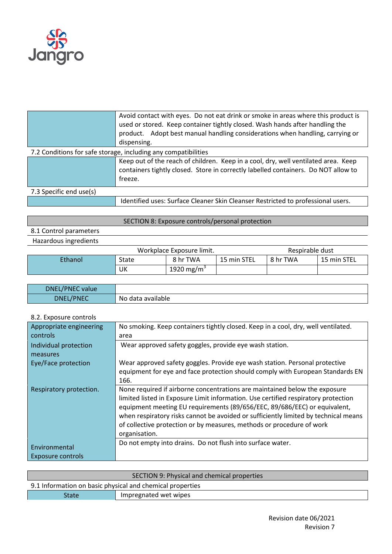

|                                                                | Avoid contact with eyes. Do not eat drink or smoke in areas where this product is<br>used or stored. Keep container tightly closed. Wash hands after handling the<br>product. Adopt best manual handling considerations when handling, carrying or<br>dispensing. |  |  |
|----------------------------------------------------------------|-------------------------------------------------------------------------------------------------------------------------------------------------------------------------------------------------------------------------------------------------------------------|--|--|
| 7.2 Conditions for safe storage, including any compatibilities |                                                                                                                                                                                                                                                                   |  |  |
|                                                                | Keep out of the reach of children. Keep in a cool, dry, well ventilated area. Keep<br>containers tightly closed. Store in correctly labelled containers. Do NOT allow to<br>freeze.                                                                               |  |  |
| 7.3 Specific end use(s)                                        |                                                                                                                                                                                                                                                                   |  |  |
|                                                                | Identified uses: Surface Cleaner Skin Cleanser Restricted to professional users.                                                                                                                                                                                  |  |  |

# SECTION 8: Exposure controls/personal protection

8.1 Control parameters Hazardous ingredients

|         | Workplace Exposure limit. |                        |             | Respirable dust |             |
|---------|---------------------------|------------------------|-------------|-----------------|-------------|
| Ethanol | <b>State</b>              | 8 hr TWA               | 15 min STEL | 8 hr TWA        | 15 min STEL |
|         | UK                        | 1920 mg/m <sup>3</sup> |             |                 |             |

| DNEL/PNEC value  |                   |
|------------------|-------------------|
| <b>DNEL/PNEC</b> | No data available |

8.2. Exposure controls

| Appropriate engineering | No smoking. Keep containers tightly closed. Keep in a cool, dry, well ventilated.   |
|-------------------------|-------------------------------------------------------------------------------------|
| controls                | area                                                                                |
| Individual protection   | Wear approved safety goggles, provide eye wash station.                             |
| measures                |                                                                                     |
| Eye/Face protection     | Wear approved safety goggles. Provide eye wash station. Personal protective         |
|                         | equipment for eye and face protection should comply with European Standards EN      |
|                         | 166.                                                                                |
| Respiratory protection. | None required if airborne concentrations are maintained below the exposure          |
|                         | limited listed in Exposure Limit information. Use certified respiratory protection  |
|                         | equipment meeting EU requirements (89/656/EEC, 89/686/EEC) or equivalent,           |
|                         | when respiratory risks cannot be avoided or sufficiently limited by technical means |
|                         | of collective protection or by measures, methods or procedure of work               |
|                         | organisation.                                                                       |
| Environmental           | Do not empty into drains. Do not flush into surface water.                          |
| Exposure controls       |                                                                                     |
|                         |                                                                                     |

| SECTION 9: Physical and chemical properties               |                       |  |
|-----------------------------------------------------------|-----------------------|--|
| 9.1 Information on basic physical and chemical properties |                       |  |
| <b>State</b>                                              | Impregnated wet wipes |  |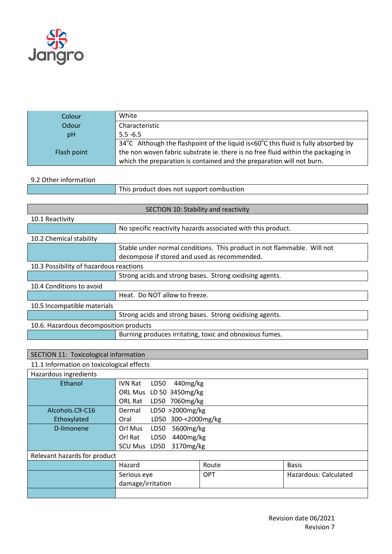

| Colour      | White                                                                              |
|-------------|------------------------------------------------------------------------------------|
| Odour       | Characteristic                                                                     |
| pH          | $5.5 - 6.5$                                                                        |
|             | 34°C Although the flashpoint of the liquid is<60°C this fluid is fully absorbed by |
| Flash point | the non woven fabric substrate ie. there is no free fluid within the packaging in  |
|             | which the preparation is contained and the preparation will not burn.              |

### 9.2 Other information

|  | This product does not support combustion |
|--|------------------------------------------|
|--|------------------------------------------|

| SECTION 10: Stability and reactivity    |                                                                                                                         |  |
|-----------------------------------------|-------------------------------------------------------------------------------------------------------------------------|--|
| 10.1 Reactivity                         |                                                                                                                         |  |
|                                         | No specific reactivity hazards associated with this product.                                                            |  |
| 10.2 Chemical stability                 |                                                                                                                         |  |
|                                         | Stable under normal conditions. This product in not flammable. Will not<br>decompose if stored and used as recommended. |  |
| 10.3 Possibility of hazardous reactions |                                                                                                                         |  |
|                                         | Strong acids and strong bases. Strong oxidising agents.                                                                 |  |
| 10.4 Conditions to avoid                |                                                                                                                         |  |
|                                         | Heat. Do NOT allow to freeze.                                                                                           |  |
| 10.5 Incompatible materials             |                                                                                                                         |  |
|                                         | Strong acids and strong bases. Strong oxidising agents.                                                                 |  |
| 10.6. Hazardous decomposition products  |                                                                                                                         |  |
|                                         | Burning produces irritating, toxic and obnoxious fumes.                                                                 |  |

# SECTION 11: Toxicological information

## 11.1 Information on toxicological effects

| Hazardous ingredients        |                              |            |                       |
|------------------------------|------------------------------|------------|-----------------------|
| Ethanol                      | 440mg/kg<br>IVN Rat<br>LD50  |            |                       |
|                              | ORL Mus LD 50 3450mg/kg      |            |                       |
|                              | ORL Rat LD50 7060mg/kg       |            |                       |
| Alcohols.C9-C16              | LD50 >2000mg/kg<br>Dermal    |            |                       |
| Ethoxylated                  | LD50 300-<2000mg/kg<br>Oral  |            |                       |
| D-limonene                   | Orl Mus<br>5600mg/kg<br>LD50 |            |                       |
|                              | 4400mg/kg<br>Orl Rat<br>LD50 |            |                       |
|                              | 3170mg/kg<br>SCU Mus LD50    |            |                       |
| Relevant hazards for product |                              |            |                       |
|                              | Hazard                       | Route      | <b>Basis</b>          |
|                              | Serious eye                  | <b>OPT</b> | Hazardous: Calculated |
|                              | damage/irritation            |            |                       |
|                              |                              |            |                       |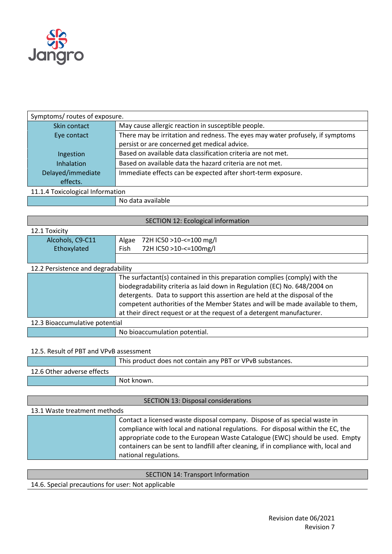

| Symptoms/ routes of exposure.    |                                                                                |  |
|----------------------------------|--------------------------------------------------------------------------------|--|
| Skin contact                     | May cause allergic reaction in susceptible people.                             |  |
| Eye contact                      | There may be irritation and redness. The eyes may water profusely, if symptoms |  |
|                                  | persist or are concerned get medical advice.                                   |  |
| Ingestion                        | Based on available data classification criteria are not met.                   |  |
| <b>Inhalation</b>                | Based on available data the hazard criteria are not met.                       |  |
| Delayed/immediate                | Immediate effects can be expected after short-term exposure.                   |  |
| effects.                         |                                                                                |  |
| 11.1.4 Toxicological Information |                                                                                |  |
|                                  | No data available                                                              |  |

| <b>SECTION 12: Ecological information</b> |                                                                                |  |
|-------------------------------------------|--------------------------------------------------------------------------------|--|
| 12.1 Toxicity                             |                                                                                |  |
| Alcohols, C9-C11                          | Algae<br>72H IC50 >10-<=100 mg/l                                               |  |
| Ethoxylated                               | 72H IC50 >10-<=100mg/l<br>Fish                                                 |  |
|                                           |                                                                                |  |
| 12.2 Persistence and degradability        |                                                                                |  |
|                                           | The surfactant(s) contained in this preparation complies (comply) with the     |  |
|                                           | biodegradability criteria as laid down in Regulation (EC) No. 648/2004 on      |  |
|                                           | detergents. Data to support this assertion are held at the disposal of the     |  |
|                                           | competent authorities of the Member States and will be made available to them, |  |
|                                           | at their direct request or at the request of a detergent manufacturer.         |  |
| 12.3 Bioaccumulative potential            |                                                                                |  |
|                                           | No bioaccumulation potential.                                                  |  |
|                                           |                                                                                |  |

### 12.5. Result of PBT and VPvB assessment

|                            | This product does not contain any PBT or VPvB substances. |
|----------------------------|-----------------------------------------------------------|
| 12.6 Other adverse effects |                                                           |
|                            | Not known.                                                |
|                            |                                                           |

SECTION 13: Disposal considerations 13.1 Waste treatment methods Contact a licensed waste disposal company. Dispose of as special waste in compliance with local and national regulations. For disposal within the EC, the appropriate code to the European Waste Catalogue (EWC) should be used. Empty containers can be sent to landfill after cleaning, if in compliance with, local and national regulations.

|  | <b>SECTION 14: Transport Information</b> |
|--|------------------------------------------|
|  |                                          |

14.6. Special precautions for user: Not applicable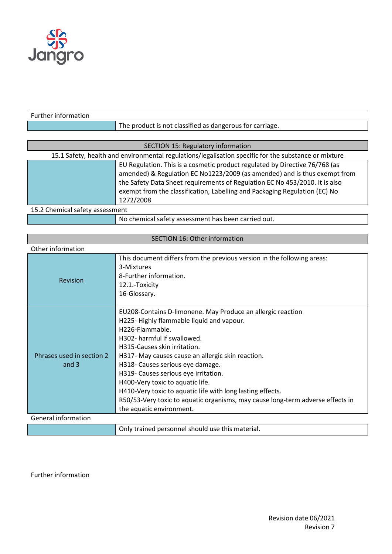

| Further information             |                                                                                                      |
|---------------------------------|------------------------------------------------------------------------------------------------------|
|                                 | The product is not classified as dangerous for carriage.                                             |
|                                 |                                                                                                      |
|                                 | <b>SECTION 15: Regulatory information</b>                                                            |
|                                 | 15.1 Safety, health and environmental regulations/legalisation specific for the substance or mixture |
|                                 | EU Regulation. This is a cosmetic product regulated by Directive 76/768 (as                          |
|                                 | amended) & Regulation EC No1223/2009 (as amended) and is thus exempt from                            |
|                                 | the Safety Data Sheet requirements of Regulation EC No 453/2010. It is also                          |
|                                 | exempt from the classification, Labelling and Packaging Regulation (EC) No                           |
|                                 | 1272/2008                                                                                            |
| 15.2 Chemical safety assessment |                                                                                                      |
|                                 | No chemical safety assessment has been carried out.                                                  |

| <b>SECTION 16: Other information</b> |                                                                                                                                                                                                                                                                                                                                                                                                                                                                                                                                            |  |
|--------------------------------------|--------------------------------------------------------------------------------------------------------------------------------------------------------------------------------------------------------------------------------------------------------------------------------------------------------------------------------------------------------------------------------------------------------------------------------------------------------------------------------------------------------------------------------------------|--|
| Other information                    |                                                                                                                                                                                                                                                                                                                                                                                                                                                                                                                                            |  |
| Revision                             | This document differs from the previous version in the following areas:<br>3-Mixtures<br>8-Further information.<br>12.1.-Toxicity<br>16-Glossary.                                                                                                                                                                                                                                                                                                                                                                                          |  |
| Phrases used in section 2<br>and $3$ | EU208-Contains D-limonene. May Produce an allergic reaction<br>H225-Highly flammable liquid and vapour.<br>H226-Flammable.<br>H302- harmful if swallowed.<br>H315-Causes skin irritation.<br>H317- May causes cause an allergic skin reaction.<br>H318- Causes serious eye damage.<br>H319- Causes serious eye irritation.<br>H400-Very toxic to aquatic life.<br>H410-Very toxic to aquatic life with long lasting effects.<br>R50/53-Very toxic to aquatic organisms, may cause long-term adverse effects in<br>the aquatic environment. |  |
| General information                  |                                                                                                                                                                                                                                                                                                                                                                                                                                                                                                                                            |  |
|                                      | Only trained personnel should use this material.                                                                                                                                                                                                                                                                                                                                                                                                                                                                                           |  |

Further information